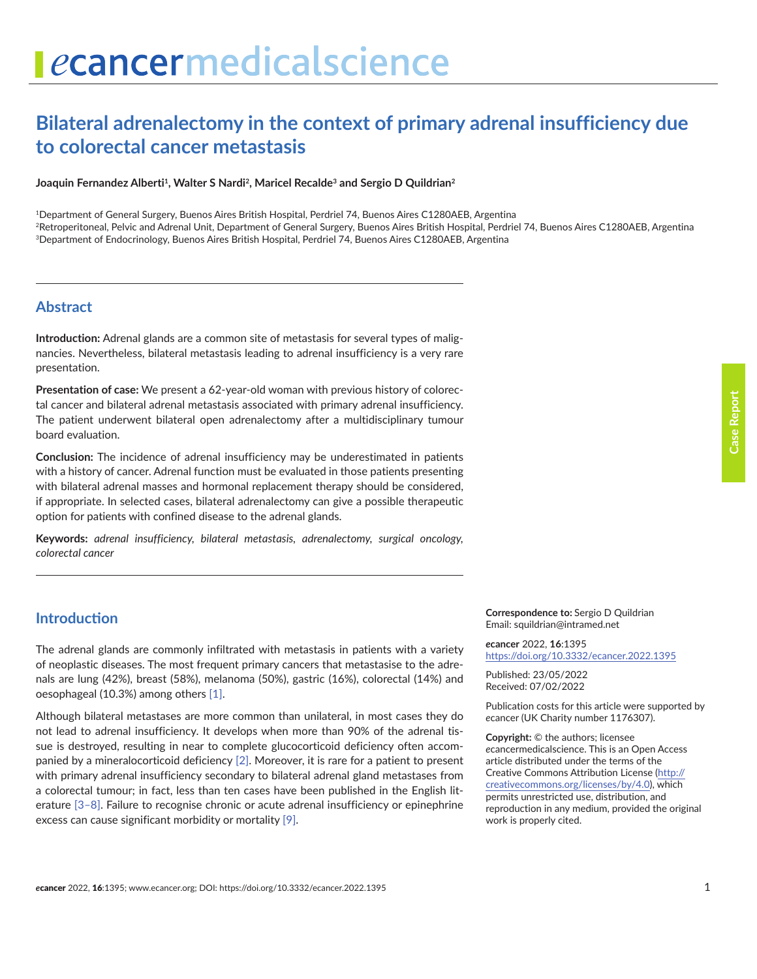# **Bilateral adrenalectomy in the context of primary adrenal insufficiency due to colorectal cancer metastasis**

Joaquin Fernandez Alberti<sup>1</sup>, Walter S Nardi<sup>2</sup>, Maricel Recalde<sup>3</sup> and Sergio D Quildrian<sup>2</sup>

1Department of General Surgery, Buenos Aires British Hospital, Perdriel 74, Buenos Aires C1280AEB, Argentina

2Retroperitoneal, Pelvic and Adrenal Unit, Department of General Surgery, Buenos Aires British Hospital, Perdriel 74, Buenos Aires C1280AEB, Argentina 3Department of Endocrinology, Buenos Aires British Hospital, Perdriel 74, Buenos Aires C1280AEB, Argentina

#### **Abstract**

**Introduction:** Adrenal glands are a common site of metastasis for several types of malignancies. Nevertheless, bilateral metastasis leading to adrenal insufficiency is a very rare presentation.

**Presentation of case:** We present a 62-year-old woman with previous history of colorectal cancer and bilateral adrenal metastasis associated with primary adrenal insufficiency. The patient underwent bilateral open adrenalectomy after a multidisciplinary tumour board evaluation.

**Conclusion:** The incidence of adrenal insufficiency may be underestimated in patients with a history of cancer. Adrenal function must be evaluated in those patients presenting with bilateral adrenal masses and hormonal replacement therapy should be considered, if appropriate. In selected cases, bilateral adrenalectomy can give a possible therapeutic option for patients with confined disease to the adrenal glands.

**Keywords:** *adrenal insufficiency, bilateral metastasis, adrenalectomy, surgical oncology, colorectal cancer*

## **Introduction**

The adrenal glands are commonly infiltrated with metastasis in patients with a variety of neoplastic diseases. The most frequent primary cancers that metastasise to the adrenals are lung (42%), breast (58%), melanoma (50%), gastric (16%), colorectal (14%) and oesophageal (10.3%) among others [\[1\].](#page-4-0)

Although bilateral metastases are more common than unilateral, in most cases they do not lead to adrenal insufficiency. It develops when more than 90% of the adrenal tissue is destroyed, resulting in near to complete glucocorticoid deficiency often accompanied by a mineralocorticoid deficiency [\[2\]](#page-4-0). Moreover, it is rare for a patient to present with primary adrenal insufficiency secondary to bilateral adrenal gland metastases from a colorectal tumour; in fact, less than ten cases have been published in the English literature [\[3–8\]](#page-4-0). Failure to recognise chronic or acute adrenal insufficiency or epinephrine excess can cause significant morbidity or mortality [\[9\]](#page-4-0).

**Correspondence to:** Sergio D Quildrian Email: squildrian@intramed.net

*e***cancer** 2022, **16**:1395 [https://doi.org/10.3332/ecancer.2022.139](https://doi.org/10.3332/ecancer.2022.1395)5

Published: 23/05/2022 Received: 07/02/2022

Publication costs for this article were supported by *e*cancer (UK Charity number 1176307).

**Copyright:** © the authors; licensee *e*cancermedicalscience. This is an Open Access article distributed under the terms of the Creative Commons Attribution License (http:// creativecommons.org/licenses/by/4.0), which permits unrestricted use, distribution, and reproduction in any medium, provided the original work is properly cited.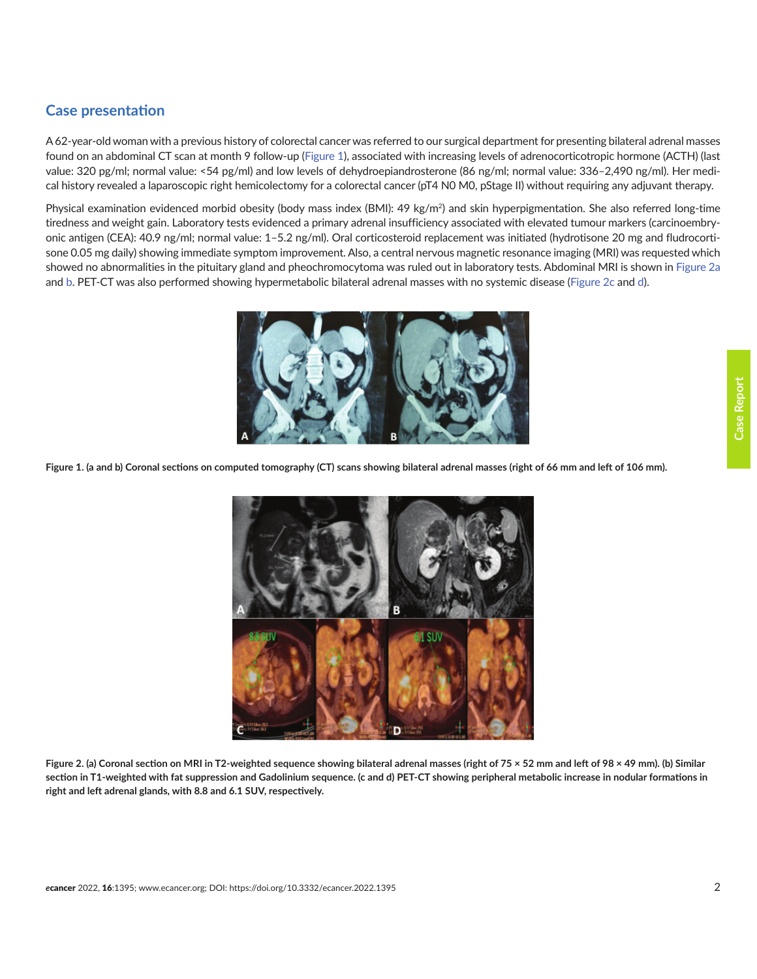# **Case presentation**

A 62-year-old woman with a previous history of colorectal cancer was referred to our surgical department for presenting bilateral adrenal masses found on an abdominal CT scan at month 9 follow-up (Figure 1), associated with increasing levels of adrenocorticotropic hormone (ACTH) (last value: 320 pg/ml; normal value: <54 pg/ml) and low levels of dehydroepiandrosterone (86 ng/ml; normal value: 336–2,490 ng/ml). Her medical history revealed a laparoscopic right hemicolectomy for a colorectal cancer (pT4 N0 M0, pStage II) without requiring any adjuvant therapy.

Physical examination evidenced morbid obesity (body mass index (BMI): 49 kg/m<sup>2</sup>) and skin hyperpigmentation. She also referred long-time tiredness and weight gain. Laboratory tests evidenced a primary adrenal insufficiency associated with elevated tumour markers (carcinoembryonic antigen (CEA): 40.9 ng/ml; normal value: 1–5.2 ng/ml). Oral corticosteroid replacement was initiated (hydrotisone 20 mg and fludrocortisone 0.05 mg daily) showing immediate symptom improvement. Also, a central nervous magnetic resonance imaging (MRI) was requested which showed no abnormalities in the pituitary gland and pheochromocytoma was ruled out in laboratory tests. Abdominal MRI is shown in Figure 2a and b. PET-CT was also performed showing hypermetabolic bilateral adrenal masses with no systemic disease (Figure 2c and d).



**Figure 1. (a and b) Coronal sections on computed tomography (CT) scans showing bilateral adrenal masses (right of 66 mm and left of 106 mm).**



**Figure 2. (a) Coronal section on MRI in T2-weighted sequence showing bilateral adrenal masses (right of 75 × 52 mm and left of 98 × 49 mm). (b) Similar section in T1-weighted with fat suppression and Gadolinium sequence. (c and d) PET-CT showing peripheral metabolic increase in nodular formations in right and left adrenal glands, with 8.8 and 6.1 SUV, respectively.**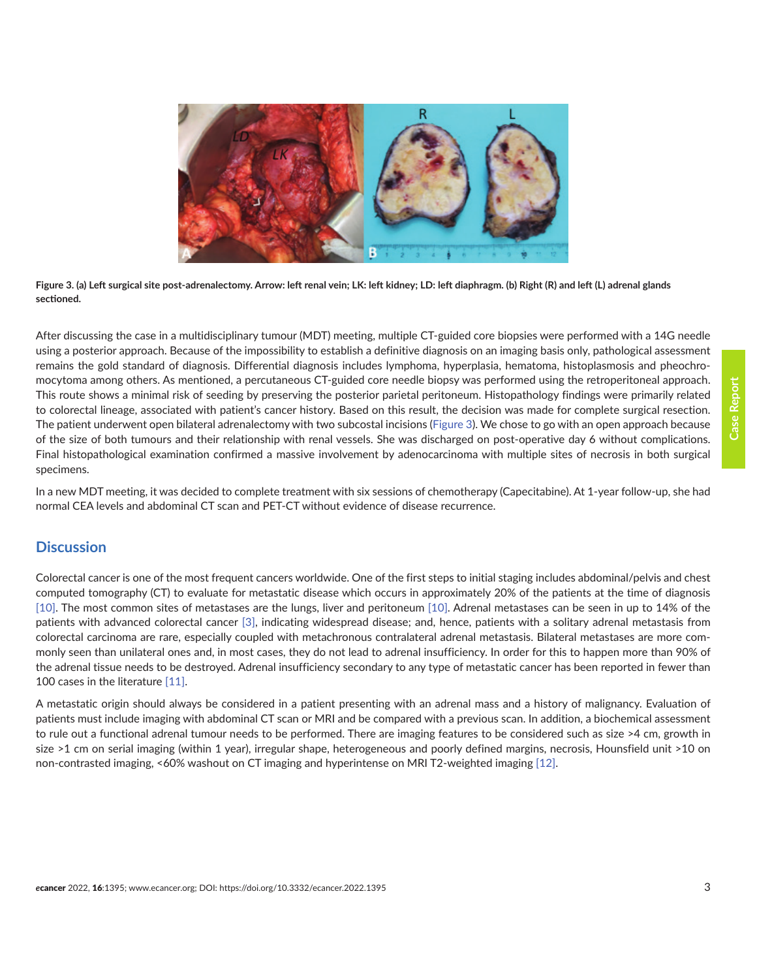

**Figure 3. (a) Left surgical site post-adrenalectomy. Arrow: left renal vein; LK: left kidney; LD: left diaphragm. (b) Right (R) and left (L) adrenal glands sectioned.**

After discussing the case in a multidisciplinary tumour (MDT) meeting, multiple CT-guided core biopsies were performed with a 14G needle using a posterior approach. Because of the impossibility to establish a definitive diagnosis on an imaging basis only, pathological assessment remains the gold standard of diagnosis. Differential diagnosis includes lymphoma, hyperplasia, hematoma, histoplasmosis and pheochromocytoma among others. As mentioned, a percutaneous CT-guided core needle biopsy was performed using the retroperitoneal approach. This route shows a minimal risk of seeding by preserving the posterior parietal peritoneum. Histopathology findings were primarily related to colorectal lineage, associated with patient's cancer history. Based on this result, the decision was made for complete surgical resection. The patient underwent open bilateral adrenalectomy with two subcostal incisions (Figure 3). We chose to go with an open approach because of the size of both tumours and their relationship with renal vessels. She was discharged on post-operative day 6 without complications. Final histopathological examination confirmed a massive involvement by adenocarcinoma with multiple sites of necrosis in both surgical specimens.

In a new MDT meeting, it was decided to complete treatment with six sessions of chemotherapy (Capecitabine). At 1-year follow-up, she had normal CEA levels and abdominal CT scan and PET-CT without evidence of disease recurrence.

#### **Discussion**

Colorectal cancer is one of the most frequent cancers worldwide. One of the first steps to initial staging includes abdominal/pelvis and chest computed tomography (CT) to evaluate for metastatic disease which occurs in approximately 20% of the patients at the time of diagnosis [\[10\].](#page-4-0) The most common sites of metastases are the lungs, liver and peritoneum [\[10\]](#page-4-0). Adrenal metastases can be seen in up to 14% of the patients with advanced colorectal cancer [\[3\]](#page-4-0), indicating widespread disease; and, hence, patients with a solitary adrenal metastasis from colorectal carcinoma are rare, especially coupled with metachronous contralateral adrenal metastasis. Bilateral metastases are more commonly seen than unilateral ones and, in most cases, they do not lead to adrenal insufficiency. In order for this to happen more than 90% of the adrenal tissue needs to be destroyed. Adrenal insufficiency secondary to any type of metastatic cancer has been reported in fewer than 100 cases in the literature [\[11\].](#page-4-0)

A metastatic origin should always be considered in a patient presenting with an adrenal mass and a history of malignancy. Evaluation of patients must include imaging with abdominal CT scan or MRI and be compared with a previous scan. In addition, a biochemical assessment to rule out a functional adrenal tumour needs to be performed. There are imaging features to be considered such as size >4 cm, growth in size >1 cm on serial imaging (within 1 year), irregular shape, heterogeneous and poorly defined margins, necrosis, Hounsfield unit >10 on non-contrasted imaging, <60% washout on CT imaging and hyperintense on MRI T2-weighted imaging [\[12\].](#page-4-0)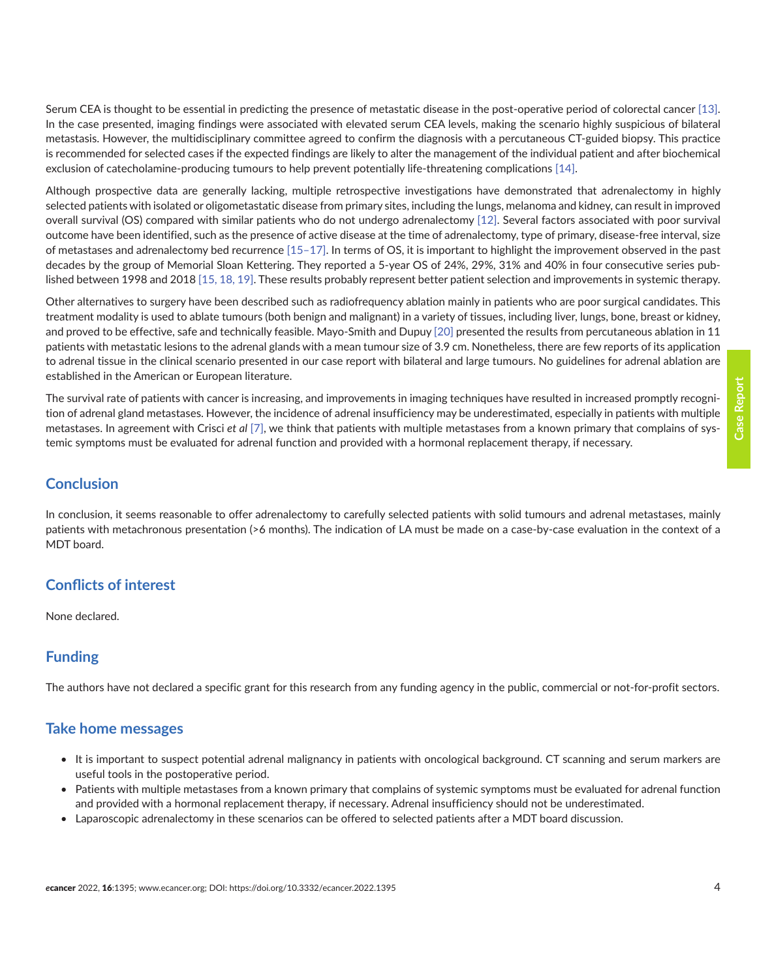Serum CEA is thought to be essential in predicting the presence of metastatic disease in the post-operative period of colorectal cancer [\[13\].](#page-4-0) In the case presented, imaging findings were associated with elevated serum CEA levels, making the scenario highly suspicious of bilateral metastasis. However, the multidisciplinary committee agreed to confirm the diagnosis with a percutaneous CT-guided biopsy. This practice is recommended for selected cases if the expected findings are likely to alter the management of the individual patient and after biochemical exclusion of catecholamine-producing tumours to help prevent potentially life-threatening complications [\[14\]](#page-4-0).

Although prospective data are generally lacking, multiple retrospective investigations have demonstrated that adrenalectomy in highly selected patients with isolated or oligometastatic disease from primary sites, including the lungs, melanoma and kidney, can result in improved overall survival (OS) compared with similar patients who do not undergo adrenalectomy [\[12\]](#page-4-0). Several factors associated with poor survival outcome have been identified, such as the presence of active disease at the time of adrenalectomy, type of primary, disease-free interval, size of metastases and adrenalectomy bed recurrence [\[15–](#page-4-0)[17\].](#page-5-0) In terms of OS, it is important to highlight the improvement observed in the past decades by the group of Memorial Sloan Kettering. They reported a 5-year OS of 24%, 29%, 31% and 40% in four consecutive series published between 1998 and 2018 [\[15,](#page-4-0) [18, 19\]](#page-5-0). These results probably represent better patient selection and improvements in systemic therapy.

Other alternatives to surgery have been described such as radiofrequency ablation mainly in patients who are poor surgical candidates. This treatment modality is used to ablate tumours (both benign and malignant) in a variety of tissues, including liver, lungs, bone, breast or kidney, and proved to be effective, safe and technically feasible. Mayo-Smith and Dupuy [\[20\]](#page-5-0) presented the results from percutaneous ablation in 11 patients with metastatic lesions to the adrenal glands with a mean tumour size of 3.9 cm. Nonetheless, there are few reports of its application to adrenal tissue in the clinical scenario presented in our case report with bilateral and large tumours. No guidelines for adrenal ablation are established in the American or European literature.

The survival rate of patients with cancer is increasing, and improvements in imaging techniques have resulted in increased promptly recognition of adrenal gland metastases. However, the incidence of adrenal insufficiency may be underestimated, especially in patients with multiple metastases. In agreement with Crisci *et al* [\[7\]](#page-4-0), we think that patients with multiple metastases from a known primary that complains of systemic symptoms must be evaluated for adrenal function and provided with a hormonal replacement therapy, if necessary.

#### **Conclusion**

In conclusion, it seems reasonable to offer adrenalectomy to carefully selected patients with solid tumours and adrenal metastases, mainly patients with metachronous presentation (>6 months). The indication of LA must be made on a case-by-case evaluation in the context of a MDT board.

## **Conflicts of interest**

None declared.

## **Funding**

The authors have not declared a specific grant for this research from any funding agency in the public, commercial or not-for-profit sectors.

#### **Take home messages**

- It is important to suspect potential adrenal malignancy in patients with oncological background. CT scanning and serum markers are useful tools in the postoperative period.
- Patients with multiple metastases from a known primary that complains of systemic symptoms must be evaluated for adrenal function and provided with a hormonal replacement therapy, if necessary. Adrenal insufficiency should not be underestimated.
- Laparoscopic adrenalectomy in these scenarios can be offered to selected patients after a MDT board discussion.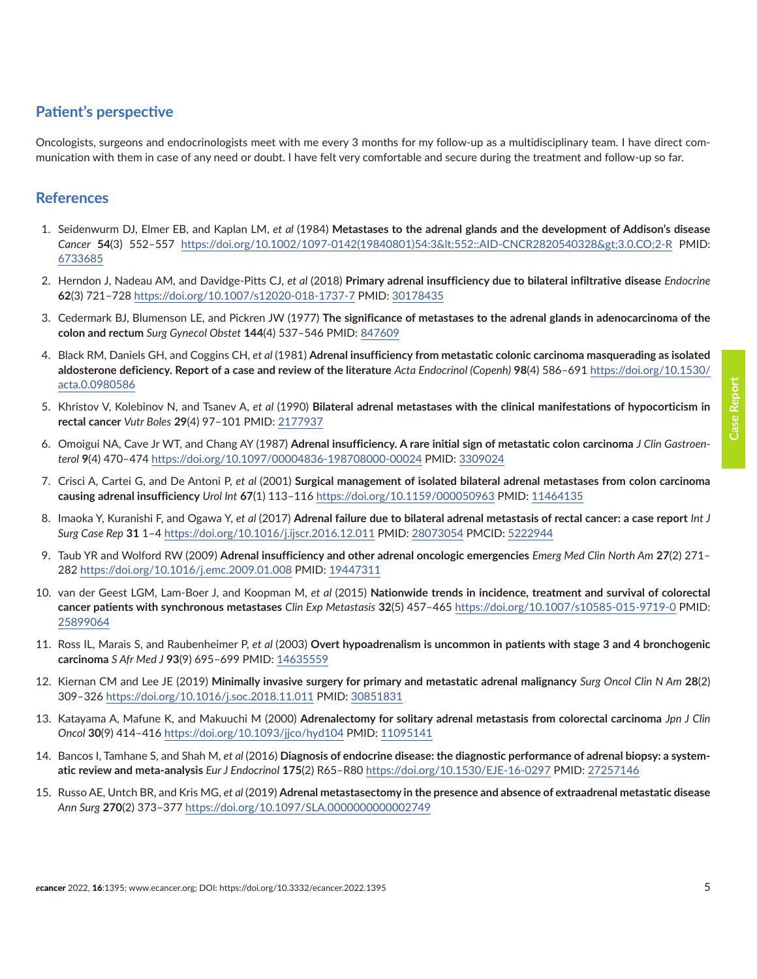## <span id="page-4-0"></span>**Patient's perspective**

Oncologists, surgeons and endocrinologists meet with me every 3 months for my follow-up as a multidisciplinary team. I have direct communication with them in case of any need or doubt. I have felt very comfortable and secure during the treatment and follow-up so far.

#### **References**

- 1. Seidenwurm DJ, Elmer EB, and Kaplan LM, *et al* (1984) **Metastases to the adrenal glands and the development of Addison's disease** *Cancer* **54**(3) 552–557 [https://doi.org/10.1002/1097-0142\(19840801\)54:3<552::AID-CNCR2820540328>3.0.CO;2-R](https://doi.org/10.1002/1097-0142(19840801)54:3<552::AID-CNCR2820540328>3.0.CO;2-R) PMID: [6733685](http://www.ncbi.nlm.nih.gov/pubmed/6733685)
- 2. Herndon J, Nadeau AM, and Davidge-Pitts CJ, *et al* (2018) **Primary adrenal insufficiency due to bilateral infiltrative disease** *Endocrine* **62**(3) 721–728 <https://doi.org/10.1007/s12020-018-1737-7> PMID: [30178435](http://www.ncbi.nlm.nih.gov/pubmed/30178435)
- 3. Cedermark BJ, Blumenson LE, and Pickren JW (1977) **The significance of metastases to the adrenal glands in adenocarcinoma of the colon and rectum** *Surg Gynecol Obstet* **144**(4) 537–546 PMID: [847609](http://www.ncbi.nlm.nih.gov/pubmed/847609)
- 4. Black RM, Daniels GH, and Coggins CH, *et al* (1981) **Adrenal insufficiency from metastatic colonic carcinoma masquerading as isolated aldosterone deficiency. Report of a case and review of the literature** *Acta Endocrinol (Copenh)* **98**(4) 586–691 [https://doi.org/10.1530/](https://doi.org/10.1530/acta.0.0980586) [acta.0.0980586](https://doi.org/10.1530/acta.0.0980586)
- 5. Khristov V, Kolebinov N, and Tsanev A, *et al* (1990) **Bilateral adrenal metastases with the clinical manifestations of hypocorticism in rectal cancer** *Vutr Boles* **29**(4) 97–101 PMID: [2177937](http://www.ncbi.nlm.nih.gov/pubmed/2177937)
- 6. Omoigui NA, Cave Jr WT, and Chang AY (1987) **Adrenal insufficiency. A rare initial sign of metastatic colon carcinoma** *J Clin Gastroenterol* **9**(4) 470–474 <https://doi.org/10.1097/00004836-198708000-00024>PMID: [3309024](http://www.ncbi.nlm.nih.gov/pubmed/3309024)
- 7. Crisci A, Cartei G, and De Antoni P, *et al* (2001) **Surgical management of isolated bilateral adrenal metastases from colon carcinoma causing adrenal insufficiency** *Urol Int* **67**(1) 113–116 <https://doi.org/10.1159/000050963> PMID: [11464135](http://www.ncbi.nlm.nih.gov/pubmed/11464135)
- 8. Imaoka Y, Kuranishi F, and Ogawa Y, *et al* (2017) **Adrenal failure due to bilateral adrenal metastasis of rectal cancer: a case report** *Int J Surg Case Rep* **31** 1–4 <https://doi.org/10.1016/j.ijscr.2016.12.011> PMID: [28073054](http://www.ncbi.nlm.nih.gov/pubmed/28073054) PMCID: [5222944](http://www.ncbi.nlm.nih.gov/pmc/articles/PMC5222944)
- 9. Taub YR and Wolford RW (2009) **Adrenal insufficiency and other adrenal oncologic emergencies** *Emerg Med Clin North Am* **27**(2) 271– 282 <https://doi.org/10.1016/j.emc.2009.01.008> PMID: [19447311](http://www.ncbi.nlm.nih.gov/pubmed/19447311)
- 10. van der Geest LGM, Lam-Boer J, and Koopman M, *et al* (2015) **Nationwide trends in incidence, treatment and survival of colorectal cancer patients with synchronous metastases** *Clin Exp Metastasis* **32**(5) 457–465<https://doi.org/10.1007/s10585-015-9719-0>PMID: [25899064](http://www.ncbi.nlm.nih.gov/pubmed/25899064)
- 11. Ross IL, Marais S, and Raubenheimer P, *et al* (2003) **Overt hypoadrenalism is uncommon in patients with stage 3 and 4 bronchogenic carcinoma** *S Afr Med J* **93**(9) 695–699 PMID: [14635559](http://www.ncbi.nlm.nih.gov/pubmed/14635559)
- 12. Kiernan CM and Lee JE (2019) **Minimally invasive surgery for primary and metastatic adrenal malignancy** *Surg Oncol Clin N Am* **28**(2) 309–326 <https://doi.org/10.1016/j.soc.2018.11.011> PMID: [30851831](http://www.ncbi.nlm.nih.gov/pubmed/30851831)
- 13. Katayama A, Mafune K, and Makuuchi M (2000) **Adrenalectomy for solitary adrenal metastasis from colorectal carcinoma** *Jpn J Clin Oncol* **30**(9) 414–416 <https://doi.org/10.1093/jjco/hyd104> PMID: [11095141](http://www.ncbi.nlm.nih.gov/pubmed/11095141)
- 14. Bancos I, Tamhane S, and Shah M, *et al* (2016) **Diagnosis of endocrine disease: the diagnostic performance of adrenal biopsy: a systematic review and meta-analysis** *Eur J Endocrinol* **175**(2) R65–R80<https://doi.org/10.1530/EJE-16-0297>PMID: [27257146](http://www.ncbi.nlm.nih.gov/pubmed/27257146)
- 15. Russo AE, Untch BR, and Kris MG, *et al* (2019) **Adrenal metastasectomy in the presence and absence of extraadrenal metastatic disease** *Ann Surg* **270**(2) 373–377<https://doi.org/10.1097/SLA.0000000000002749>